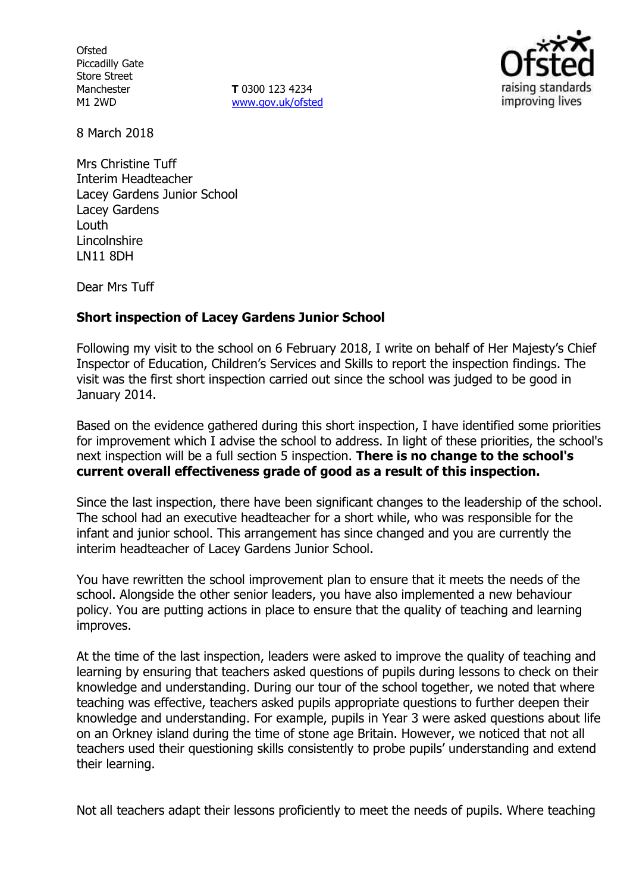**Ofsted** Piccadilly Gate Store Street Manchester M1 2WD

**T** 0300 123 4234 www.gov.uk/ofsted



8 March 2018

Mrs Christine Tuff Interim Headteacher Lacey Gardens Junior School Lacey Gardens Louth Lincolnshire LN11 8DH

Dear Mrs Tuff

## **Short inspection of Lacey Gardens Junior School**

Following my visit to the school on 6 February 2018, I write on behalf of Her Majesty's Chief Inspector of Education, Children's Services and Skills to report the inspection findings. The visit was the first short inspection carried out since the school was judged to be good in January 2014.

Based on the evidence gathered during this short inspection, I have identified some priorities for improvement which I advise the school to address. In light of these priorities, the school's next inspection will be a full section 5 inspection. **There is no change to the school's current overall effectiveness grade of good as a result of this inspection.**

Since the last inspection, there have been significant changes to the leadership of the school. The school had an executive headteacher for a short while, who was responsible for the infant and junior school. This arrangement has since changed and you are currently the interim headteacher of Lacey Gardens Junior School.

You have rewritten the school improvement plan to ensure that it meets the needs of the school. Alongside the other senior leaders, you have also implemented a new behaviour policy. You are putting actions in place to ensure that the quality of teaching and learning improves.

At the time of the last inspection, leaders were asked to improve the quality of teaching and learning by ensuring that teachers asked questions of pupils during lessons to check on their knowledge and understanding. During our tour of the school together, we noted that where teaching was effective, teachers asked pupils appropriate questions to further deepen their knowledge and understanding. For example, pupils in Year 3 were asked questions about life on an Orkney island during the time of stone age Britain. However, we noticed that not all teachers used their questioning skills consistently to probe pupils' understanding and extend their learning.

Not all teachers adapt their lessons proficiently to meet the needs of pupils. Where teaching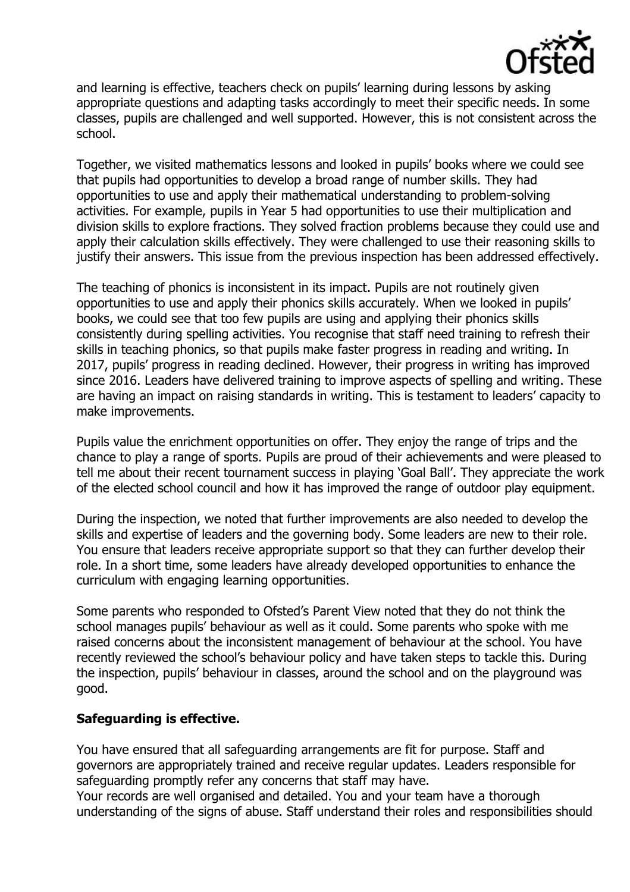

and learning is effective, teachers check on pupils' learning during lessons by asking appropriate questions and adapting tasks accordingly to meet their specific needs. In some classes, pupils are challenged and well supported. However, this is not consistent across the school.

Together, we visited mathematics lessons and looked in pupils' books where we could see that pupils had opportunities to develop a broad range of number skills. They had opportunities to use and apply their mathematical understanding to problem-solving activities. For example, pupils in Year 5 had opportunities to use their multiplication and division skills to explore fractions. They solved fraction problems because they could use and apply their calculation skills effectively. They were challenged to use their reasoning skills to justify their answers. This issue from the previous inspection has been addressed effectively.

The teaching of phonics is inconsistent in its impact. Pupils are not routinely given opportunities to use and apply their phonics skills accurately. When we looked in pupils' books, we could see that too few pupils are using and applying their phonics skills consistently during spelling activities. You recognise that staff need training to refresh their skills in teaching phonics, so that pupils make faster progress in reading and writing. In 2017, pupils' progress in reading declined. However, their progress in writing has improved since 2016. Leaders have delivered training to improve aspects of spelling and writing. These are having an impact on raising standards in writing. This is testament to leaders' capacity to make improvements.

Pupils value the enrichment opportunities on offer. They enjoy the range of trips and the chance to play a range of sports. Pupils are proud of their achievements and were pleased to tell me about their recent tournament success in playing 'Goal Ball'. They appreciate the work of the elected school council and how it has improved the range of outdoor play equipment.

During the inspection, we noted that further improvements are also needed to develop the skills and expertise of leaders and the governing body. Some leaders are new to their role. You ensure that leaders receive appropriate support so that they can further develop their role. In a short time, some leaders have already developed opportunities to enhance the curriculum with engaging learning opportunities.

Some parents who responded to Ofsted's Parent View noted that they do not think the school manages pupils' behaviour as well as it could. Some parents who spoke with me raised concerns about the inconsistent management of behaviour at the school. You have recently reviewed the school's behaviour policy and have taken steps to tackle this. During the inspection, pupils' behaviour in classes, around the school and on the playground was good.

## **Safeguarding is effective.**

You have ensured that all safeguarding arrangements are fit for purpose. Staff and governors are appropriately trained and receive regular updates. Leaders responsible for safeguarding promptly refer any concerns that staff may have.

Your records are well organised and detailed. You and your team have a thorough understanding of the signs of abuse. Staff understand their roles and responsibilities should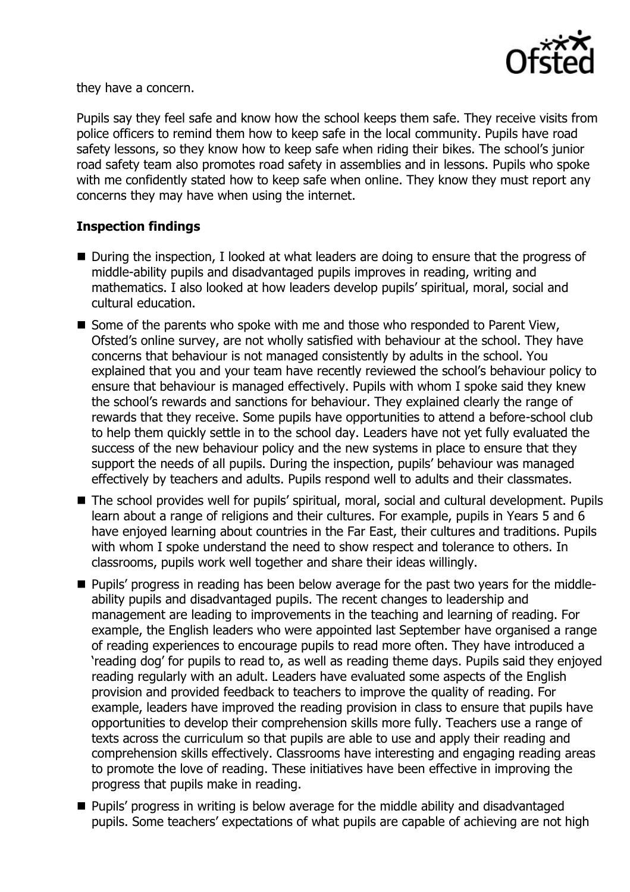

they have a concern.

Pupils say they feel safe and know how the school keeps them safe. They receive visits from police officers to remind them how to keep safe in the local community. Pupils have road safety lessons, so they know how to keep safe when riding their bikes. The school's junior road safety team also promotes road safety in assemblies and in lessons. Pupils who spoke with me confidently stated how to keep safe when online. They know they must report any concerns they may have when using the internet.

# **Inspection findings**

- During the inspection, I looked at what leaders are doing to ensure that the progress of middle-ability pupils and disadvantaged pupils improves in reading, writing and mathematics. I also looked at how leaders develop pupils' spiritual, moral, social and cultural education.
- Some of the parents who spoke with me and those who responded to Parent View, Ofsted's online survey, are not wholly satisfied with behaviour at the school. They have concerns that behaviour is not managed consistently by adults in the school. You explained that you and your team have recently reviewed the school's behaviour policy to ensure that behaviour is managed effectively. Pupils with whom I spoke said they knew the school's rewards and sanctions for behaviour. They explained clearly the range of rewards that they receive. Some pupils have opportunities to attend a before-school club to help them quickly settle in to the school day. Leaders have not yet fully evaluated the success of the new behaviour policy and the new systems in place to ensure that they support the needs of all pupils. During the inspection, pupils' behaviour was managed effectively by teachers and adults. Pupils respond well to adults and their classmates.
- The school provides well for pupils' spiritual, moral, social and cultural development. Pupils learn about a range of religions and their cultures. For example, pupils in Years 5 and 6 have enjoyed learning about countries in the Far East, their cultures and traditions. Pupils with whom I spoke understand the need to show respect and tolerance to others. In classrooms, pupils work well together and share their ideas willingly.
- **Pupils' progress in reading has been below average for the past two years for the middle**ability pupils and disadvantaged pupils. The recent changes to leadership and management are leading to improvements in the teaching and learning of reading. For example, the English leaders who were appointed last September have organised a range of reading experiences to encourage pupils to read more often. They have introduced a 'reading dog' for pupils to read to, as well as reading theme days. Pupils said they enjoyed reading regularly with an adult. Leaders have evaluated some aspects of the English provision and provided feedback to teachers to improve the quality of reading. For example, leaders have improved the reading provision in class to ensure that pupils have opportunities to develop their comprehension skills more fully. Teachers use a range of texts across the curriculum so that pupils are able to use and apply their reading and comprehension skills effectively. Classrooms have interesting and engaging reading areas to promote the love of reading. These initiatives have been effective in improving the progress that pupils make in reading.
- **Pupils'** progress in writing is below average for the middle ability and disadvantaged pupils. Some teachers' expectations of what pupils are capable of achieving are not high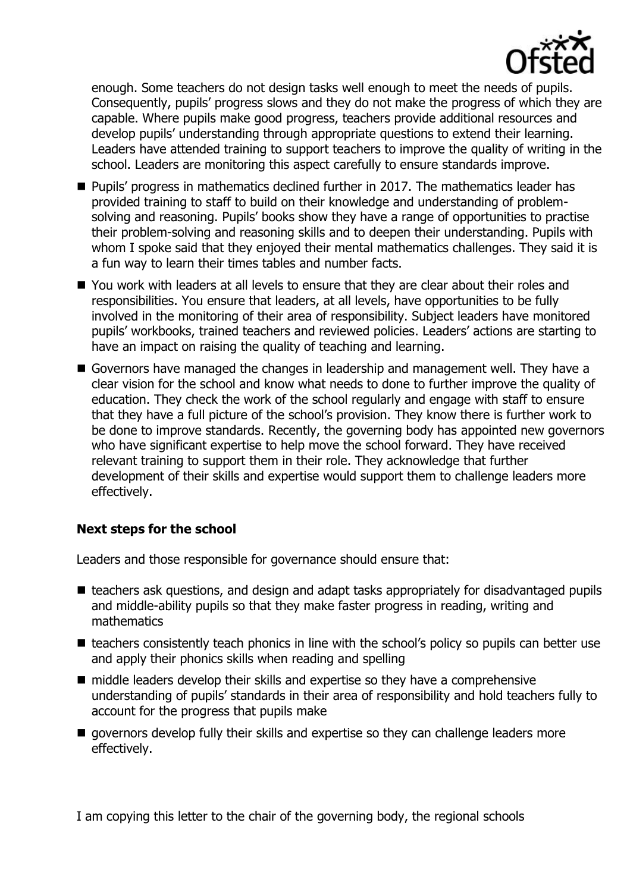

enough. Some teachers do not design tasks well enough to meet the needs of pupils. Consequently, pupils' progress slows and they do not make the progress of which they are capable. Where pupils make good progress, teachers provide additional resources and develop pupils' understanding through appropriate questions to extend their learning. Leaders have attended training to support teachers to improve the quality of writing in the school. Leaders are monitoring this aspect carefully to ensure standards improve.

- **Pupils' progress in mathematics declined further in 2017. The mathematics leader has** provided training to staff to build on their knowledge and understanding of problemsolving and reasoning. Pupils' books show they have a range of opportunities to practise their problem-solving and reasoning skills and to deepen their understanding. Pupils with whom I spoke said that they enjoyed their mental mathematics challenges. They said it is a fun way to learn their times tables and number facts.
- You work with leaders at all levels to ensure that they are clear about their roles and responsibilities. You ensure that leaders, at all levels, have opportunities to be fully involved in the monitoring of their area of responsibility. Subject leaders have monitored pupils' workbooks, trained teachers and reviewed policies. Leaders' actions are starting to have an impact on raising the quality of teaching and learning.
- Governors have managed the changes in leadership and management well. They have a clear vision for the school and know what needs to done to further improve the quality of education. They check the work of the school regularly and engage with staff to ensure that they have a full picture of the school's provision. They know there is further work to be done to improve standards. Recently, the governing body has appointed new governors who have significant expertise to help move the school forward. They have received relevant training to support them in their role. They acknowledge that further development of their skills and expertise would support them to challenge leaders more effectively.

## **Next steps for the school**

Leaders and those responsible for governance should ensure that:

- teachers ask questions, and design and adapt tasks appropriately for disadvantaged pupils and middle-ability pupils so that they make faster progress in reading, writing and mathematics
- teachers consistently teach phonics in line with the school's policy so pupils can better use and apply their phonics skills when reading and spelling
- middle leaders develop their skills and expertise so they have a comprehensive understanding of pupils' standards in their area of responsibility and hold teachers fully to account for the progress that pupils make
- qovernors develop fully their skills and expertise so they can challenge leaders more effectively.

I am copying this letter to the chair of the governing body, the regional schools